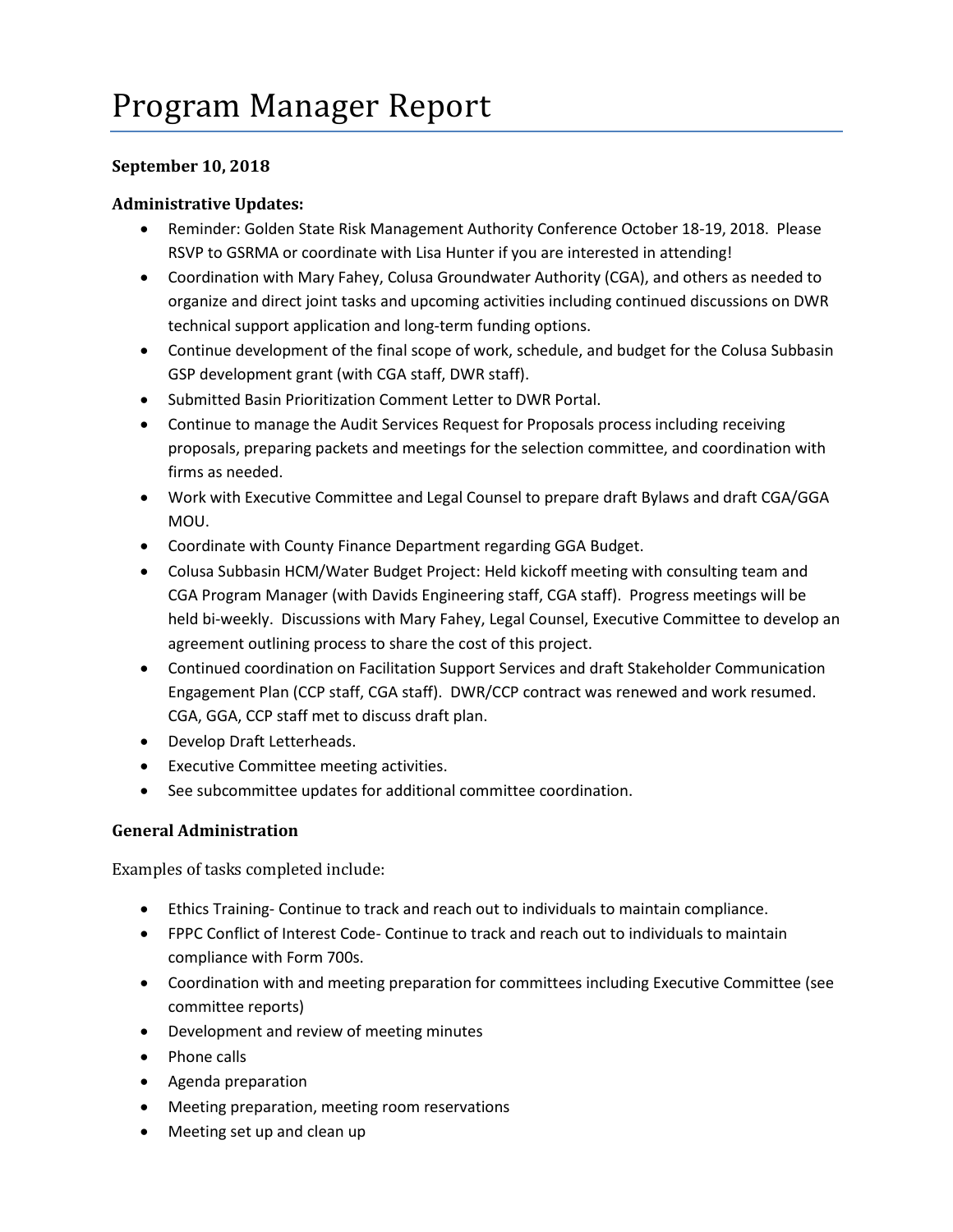## **September 10, 2018**

## **Administrative Updates:**

- Reminder: Golden State Risk Management Authority Conference October 18-19, 2018. Please RSVP to GSRMA or coordinate with Lisa Hunter if you are interested in attending!
- Coordination with Mary Fahey, Colusa Groundwater Authority (CGA), and others as needed to organize and direct joint tasks and upcoming activities including continued discussions on DWR technical support application and long-term funding options.
- Continue development of the final scope of work, schedule, and budget for the Colusa Subbasin GSP development grant (with CGA staff, DWR staff).
- Submitted Basin Prioritization Comment Letter to DWR Portal.
- Continue to manage the Audit Services Request for Proposals process including receiving proposals, preparing packets and meetings for the selection committee, and coordination with firms as needed.
- Work with Executive Committee and Legal Counsel to prepare draft Bylaws and draft CGA/GGA MOU.
- Coordinate with County Finance Department regarding GGA Budget.
- Colusa Subbasin HCM/Water Budget Project: Held kickoff meeting with consulting team and CGA Program Manager (with Davids Engineering staff, CGA staff). Progress meetings will be held bi-weekly. Discussions with Mary Fahey, Legal Counsel, Executive Committee to develop an agreement outlining process to share the cost of this project.
- Continued coordination on Facilitation Support Services and draft Stakeholder Communication Engagement Plan (CCP staff, CGA staff). DWR/CCP contract was renewed and work resumed. CGA, GGA, CCP staff met to discuss draft plan.
- Develop Draft Letterheads.
- Executive Committee meeting activities.
- See subcommittee updates for additional committee coordination.

## **General Administration**

Examples of tasks completed include:

- Ethics Training- Continue to track and reach out to individuals to maintain compliance.
- FPPC Conflict of Interest Code- Continue to track and reach out to individuals to maintain compliance with Form 700s.
- Coordination with and meeting preparation for committees including Executive Committee (see committee reports)
- Development and review of meeting minutes
- Phone calls
- Agenda preparation
- Meeting preparation, meeting room reservations
- Meeting set up and clean up